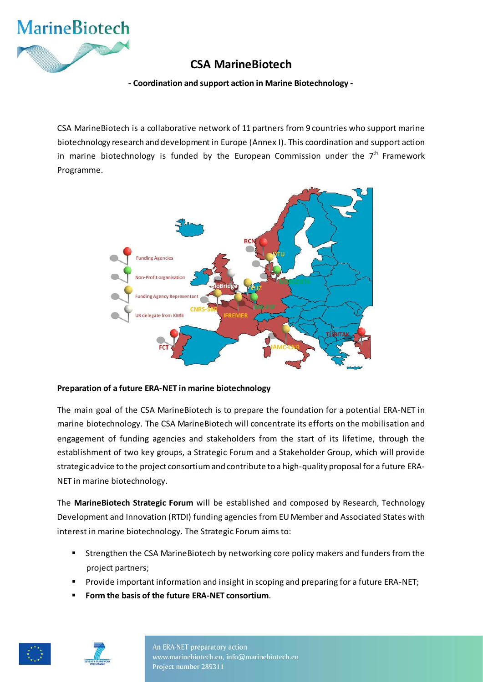

# **CSA MarineBiotech**

**- Coordination and support action in Marine Biotechnology -**

CSA MarineBiotech is a collaborative network of 11 partners from 9 countries who support marine biotechnology research and development in Europe (Annex I). This coordination and support action in marine biotechnology is funded by the European Commission under the  $7<sup>th</sup>$  Framework Programme.



## **Preparation of a future ERA-NET in marine biotechnology**

The main goal of the CSA MarineBiotech is to prepare the foundation for a potential ERA-NET in marine biotechnology. The CSA MarineBiotech will concentrate its efforts on the mobilisation and engagement of funding agencies and stakeholders from the start of its lifetime, through the establishment of two key groups, a Strategic Forum and a Stakeholder Group, which will provide strategic advice to the project consortium and contribute to a high-quality proposal for a future ERA-NET in marine biotechnology.

The **MarineBiotech Strategic Forum** will be established and composed by Research, Technology Development and Innovation (RTDI) funding agencies from EU Member and Associated States with interest in marine biotechnology. The Strategic Forum aims to:

- **Strengthen the CSA MarineBiotech by networking core policy makers and funders from the** project partners;
- Provide important information and insight in scoping and preparing for a future ERA-NET;
- **Form the basis of the future ERA-NET consortium**.





An ERA-NET preparatory action www.marinebiotech.eu, info@marinebiotech.eu Project number 289311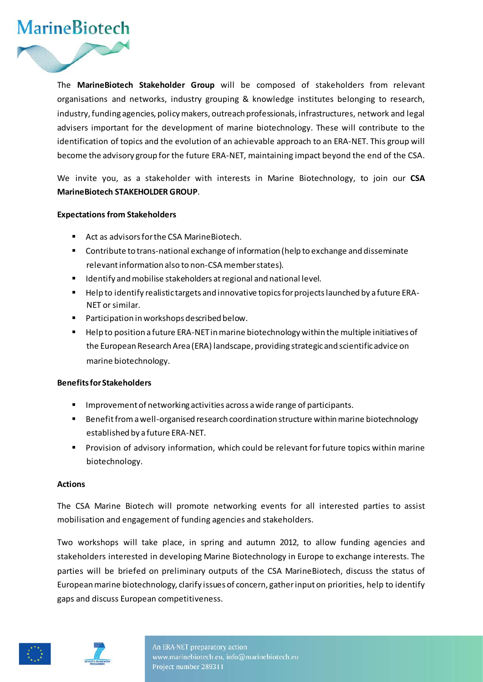

The **MarineBiotech Stakeholder Group** will be composed of stakeholders from relevant organisations and networks, industry grouping & knowledge institutes belonging to research, industry, funding agencies, policy makers, outreach professionals, infrastructures, network and legal advisers important for the development of marine biotechnology. These will contribute to the identification of topics and the evolution of an achievable approach to an ERA-NET. This group will become the advisory group for the future ERA-NET, maintaining impact beyond the end of the CSA.

We invite you, as a stakeholder with interests in Marine Biotechnology, to join our **CSA MarineBiotech STAKEHOLDER GROUP**.

## **Expectations from Stakeholders**

- Act as advisors for the CSA Marine Biotech.
- **Contribute to trans-national exchange of information (help to exchange and disseminate** relevant information also to non-CSA member states).
- **IDENTIFY** and mobilise stakeholders at regional and national level.
- Help to identify realistic targets and innovative topics for projects launched by a future ERA-NET or similar.
- **Participation in workshops described below.**
- **F** Help to position a future ERA-NET in marine biotechnology within the multiple initiatives of the European Research Area (ERA) landscape, providing strategic and scientific advice on marine biotechnology.

## **Benefits for Stakeholders**

- Improvement of networking activities across a wide range of participants.
- **Benefit from a well-organised research coordination structure within marine biotechnology** established by a future ERA-NET.
- Provision of advisory information, which could be relevant for future topics within marine biotechnology.

#### **Actions**

The CSA Marine Biotech will promote networking events for all interested parties to assist mobilisation and engagement of funding agencies and stakeholders.

Two workshops will take place, in spring and autumn 2012, to allow funding agencies and stakeholders interested in developing Marine Biotechnology in Europe to exchange interests. The parties will be briefed on preliminary outputs of the CSA MarineBiotech, discuss the status of European marine biotechnology, clarify issues of concern, gather input on priorities, help to identify gaps and discuss European competitiveness.



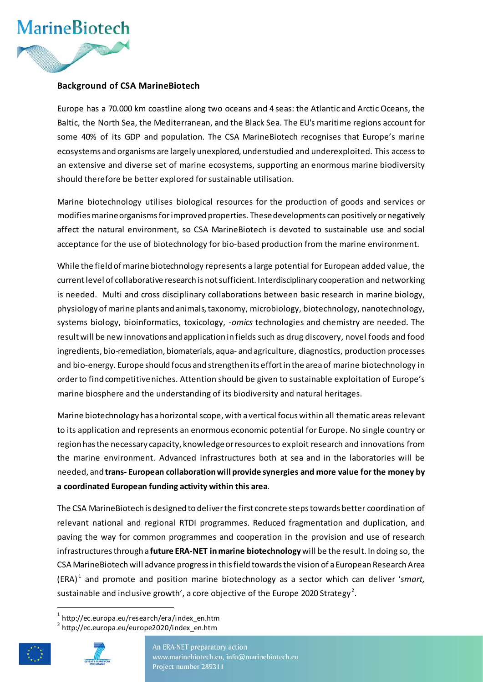

## **Background of CSA MarineBiotech**

Europe has a 70.000 km coastline along two oceans and 4 seas: the Atlantic and Arctic Oceans, the Baltic, the North Sea, the Mediterranean, and the Black Sea. The EU's maritime regions account for some 40% of its GDP and population. The CSA MarineBiotech recognises that Europe's marine ecosystems and organisms are largely unexplored, understudied and underexploited. This access to an extensive and diverse set of marine ecosystems, supporting an enormous marine biodiversity should therefore be better explored for sustainable utilisation.

Marine biotechnology utilises biological resources for the production of goods and services or modifies marine organisms for improved properties. These developments can positively or negatively affect the natural environment, so CSA MarineBiotech is devoted to sustainable use and social acceptance for the use of biotechnology for bio-based production from the marine environment.

While the field of marine biotechnology represents a large potential for European added value, the current level of collaborative research is not sufficient. Interdisciplinary cooperation and networking is needed. Multi and cross disciplinary collaborations between basic research in marine biology, physiology of marine plants and animals, taxonomy, microbiology, biotechnology, nanotechnology, systems biology, bioinformatics, toxicology, *-omics* technologies and chemistry are needed. The result will be new innovations and application in fields such as drug discovery, novel foods and food ingredients, bio-remediation, biomaterials, aqua- and agriculture, diagnostics, production processes and bio-energy. Europe should focus and strengthen its effort in the area of marine biotechnology in order to find competitive niches. Attention should be given to sustainable exploitation of Europe's marine biosphere and the understanding of its biodiversity and natural heritages.

Marine biotechnology has a horizontal scope, with a vertical focus within all thematic areas relevant to its application and represents an enormous economic potential for Europe. No single country or region has the necessary capacity, knowledge or resources to exploit research and innovations from the marine environment. Advanced infrastructures both at sea and in the laboratories will be needed, and **trans- European collaboration will provide synergies and more value for the money by a coordinated European funding activity within this area**.

The CSA MarineBiotech is designed to deliver the first concrete steps towards better coordination of relevant national and regional RTDI programmes. Reduced fragmentation and duplication, and paving the way for common programmes and cooperation in the provision and use of research infrastructures through a **future ERA-NET in marine biotechnology**will be the result. In doing so, the CSA MarineBiotech will advance progress in this field towards the vision of a European Research Area (ERA) [1](#page-2-0) and promote and position marine biotechnology as a sector which can deliver '*smart,*  sustainable and inclusive growth', a core objective of the Europe [2](#page-2-1)020 Strategy<sup>2</sup>.

<span id="page-2-1"></span><span id="page-2-0"></span> $2$  http://ec.europa.eu/europe2020/index\_en.htm





An ERA-NET preparatory action www.marinebiotech.eu, info@marinebiotech.eu Project number 289311

 $1$  http://ec.europa.eu/research/era/index\_en.htm